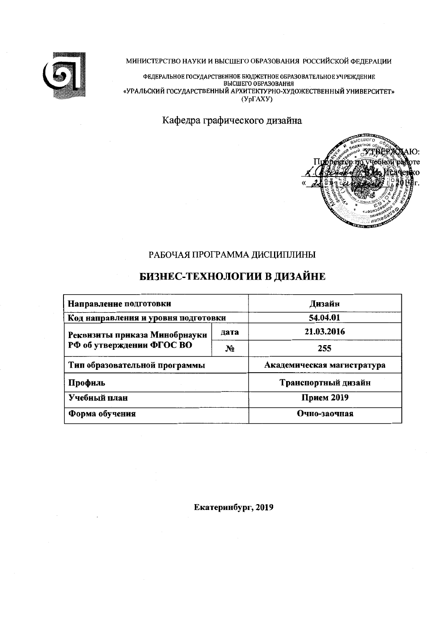

### МИНИСТЕРСТВО НАУКИ И ВЫСШЕГО ОБРАЗОВАНИЯ РОССИЙСКОЙ ФЕДЕРАЦИИ

ФЕДЕРАЛЬНОЕ ГОСУДАРСТВЕННОЕ БЮДЖЕТНОЕ ОБРАЗОВАТЕЛЬНОЕ УЧРЕЖДЕНИЕ<br>ВЫСШЕГО ОБРАЗОВАНИЯ<br>«УРАЛЬСКИЙ ГОСУДАРСТВЕННЫЙ АРХИТЕКТУРНО-ХУДОЖЕСТВЕННЫЙ УНИВЕРСИТЕТ»  $(Yp\Gamma A X Y)$ 

Кафедра графического дизайна



## РАБОЧАЯ ПРОГРАММА ДИСЦИПЛИНЫ

# БИЗНЕС-ТЕХНОЛОГИИ В ДИЗАЙНЕ

| Направление подготовки              | Дизайн       |                            |  |  |  |  |
|-------------------------------------|--------------|----------------------------|--|--|--|--|
| Код направления и уровня подготовки | 54.04.01     |                            |  |  |  |  |
| Реквизиты приказа Минобрнауки       | дата         | 21.03.2016                 |  |  |  |  |
| РФ об утверждении ФГОС ВО           | $N_2$        | 255                        |  |  |  |  |
| Тип образовательной программы       |              | Академическая магистратура |  |  |  |  |
| Профиль                             |              | Транспортный дизайн        |  |  |  |  |
| Учебиый план                        | Прием 2019   |                            |  |  |  |  |
| Форма обучения                      | Очно-заочная |                            |  |  |  |  |

Екатеринбург, 2019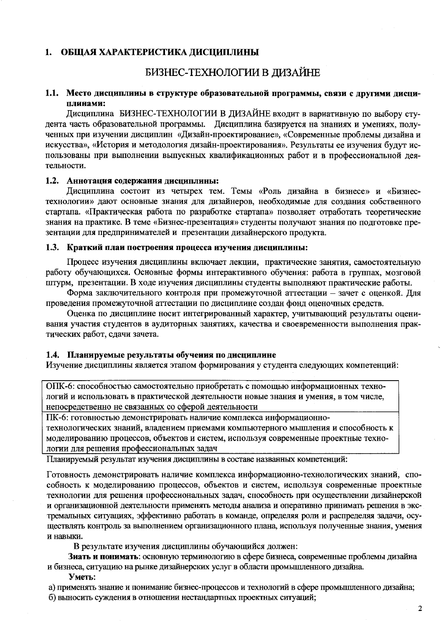### ОБЩАЯ ХАРАКТЕРИСТИКА ДИСЦИПЛИНЫ 1.

# БИЗНЕС-ТЕХНОЛОГИИ В ДИЗАЙНЕ

### 1.1. Место дисциплииы в структуре образовательной программы, связи с другими дисциплинами:

Дисциплина БИЗНЕС-ТЕХНОЛОГИИ В ДИЗАЙНЕ входит в вариативную по выбору студента часть образовательной программы. Дисциплина базируется на знаниях и умениях, полученных при изучении дисциплин «Дизайн-проектирование», «Современные проблемы дизайна и искусства», «История и методология дизайн-проектирования». Результаты ее изучения будут использованы при выполнении выпускных квалификационных работ и в профессиональной деятельности.

### 1.2. Аннотация содержания дисциплины:

Дисциплина состоит из четырех тем. Темы «Роль дизайна в бизнесе» и «Бизнестехнологии» дают основные знания для дизайнеров, необходимые для создания собственного стартапа. «Практическая работа по разработке стартапа» позволяет отработать теоретические знания на практике. В теме «Бизнес-презентация» студенты получают знания по подготовке презентации для предпринимателей и презентации дизайнерского продукта.

### 1.3. Краткий плаи построения процесса изучения дисциплины:

Процесс изучения дисциплины включает лекции, практические занятия, самостоятельную работу обучающихся. Основные формы интерактивного обучения: работа в группах, мозговой штурм, презентации. В ходе изучения дисциплины студенты выполняют практические работы.

Форма заключительного контроля при промежуточной аттестации - зачет с оценкой. Для проведения промежуточной аттестации по дисциплине создан фонд оценочных средств.

Оценка по дисциплине носит интегрированный характер, учитывающий результаты оценивания участия студентов в аудиторных занятиях, качества и своевременности выполнения практических работ, сдачи зачета.

### 1.4. Планируемые результаты обучения по дисциплине

Изучение дисциплины является этапом формирования у студента следующих компетенций:

ОПК-6: способностью самостоятельно приобретать с помощью информационных технологий и использовать в практической деятельности новые знания и умения, в том числе, непосредственно не связанных со сферой деятельности

ПК-6: готовностью демонстрировать наличие комплекса информационно-

технологических знаний, владением приемами компьютерного мышления и способность к моделированию процессов, объектов и систем, используя современные проектные технологии для решения профессиональных задач

Планируемый результат изучения дисциплины в составе названных компетенций:

Готовность демонстрировать наличие комплекса информационно-технологических знаний, способность к моделированию процессов, объектов и систем, используя современные проектные технологии для решения профессиональных задач, способность при осуществлении дизайнерской и организационной деятельности применять методы анализа и оперативно принимать решения в экстремальных ситуациях, эффективно работать в команде, определяя роли и распределяя задачи, осуществлять контроль за выполнением организационного плана, используя полученные знания, умения и навыки.

В результате изучения дисциплины обучающийся должен:

Знать и понимать: основную терминологию в сфере бизнеса, современные проблемы дизайна и бизнеса, ситуацию на рынке дизайнерских услуг в области промышленного дизайна.

### Уметь:

а) применять знание и понимание бизнес-процессов и технологий в сфере промышленного дизайна; б) выносить суждения в отношении нестандартных проектных ситуаций;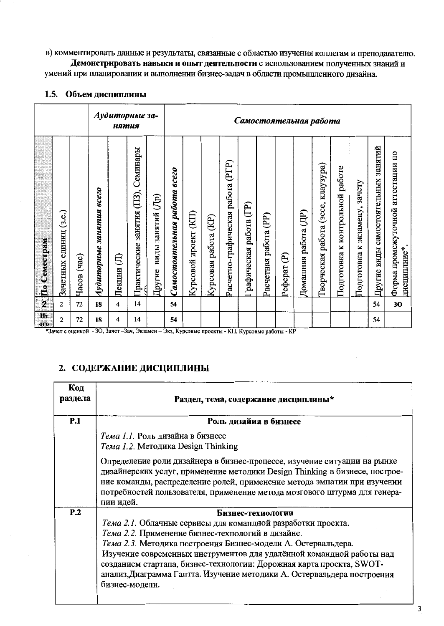в) комментировать данные и результаты, связанные с областью изучения коллегам и преподавателю.

Демонстрировать навыки и опыт деятельности с использованием полученных знаний и умений при планировании и выполнении бизнес-задач в области промышленного дизайна.

|                         |                              |                      |                            | нятия       | Аудиторные за-                      |                             | Самостоятельная работа       |                          |                         |                                      |                           |                       |              |                                      |                                             |                                          |                                     |                                             |                                                  |
|-------------------------|------------------------------|----------------------|----------------------------|-------------|-------------------------------------|-----------------------------|------------------------------|--------------------------|-------------------------|--------------------------------------|---------------------------|-----------------------|--------------|--------------------------------------|---------------------------------------------|------------------------------------------|-------------------------------------|---------------------------------------------|--------------------------------------------------|
| По Семестрам            | (3.e.)<br>единиц<br>Зачетных | $rac{1}{2}$<br>Часов | eceo<br>Аудиторные занятия | 目<br>Лекции | Практические занятия (ПЗ), Семинары | виды занятий (Др)<br>Другие | Самостоятельная работа всего | (KIT)<br>Курсовой проект | (KP)<br>Курсовая работа | (PTP)<br>Расчетно-графическая работа | работа (ГР)<br>рафическая | Расчетная работа (PP) | ව<br>Реферат | $(\mathbb{H})$<br>работа<br>Домашняя | клаузура)<br>(эссе,<br>работа<br>Гворческая | работе<br>контрольной<br>K<br>Подготовка | зачету<br>экзамену,<br>Подготовка к | занятий<br>виды самостоятельных<br>Другие 1 | Форма промежуточной аггестации по<br>дисциплине* |
| $\overline{\mathbf{z}}$ | $\overline{2}$               | 72                   | 18                         | 4           | 14                                  |                             | 54                           |                          |                         |                                      |                           |                       |              |                                      |                                             |                                          |                                     | 54                                          | 30                                               |
| Ит<br>0 <sub>0</sub>    | $\overline{2}$               | 72                   | 18                         | 4           | 14                                  |                             | 54                           |                          |                         |                                      |                           |                       |              |                                      |                                             |                                          |                                     | 54                                          |                                                  |

## 1.5. Объем дисциплины

\*Зачет с оценкой - 30, Зачет-Зач, Экзамен - Экз, Курсовые проекты - КП, Курсовые работы - КР

### 2. СОДЕРЖАНИЕ ДИСЦИПЛИНЫ

| Код<br>раздела | Раздел, тема, содержание дисциплины*                                                                                                                                                                                                                                                                                                                                                                                                                 |
|----------------|------------------------------------------------------------------------------------------------------------------------------------------------------------------------------------------------------------------------------------------------------------------------------------------------------------------------------------------------------------------------------------------------------------------------------------------------------|
| P.1            | Роль дизайна в бизнесе                                                                                                                                                                                                                                                                                                                                                                                                                               |
|                | Тема 1.1. Роль дизайна в бизнесе<br>Тема 1.2. Методика Design Thinking                                                                                                                                                                                                                                                                                                                                                                               |
|                | Определение роли дизайнера в бизнес-процессе, изучение ситуации на рынке<br>дизайнерских услуг, применение методики Design Thinking в бизнесе, построе-<br>ние команды, распределение ролей, применение метода эмпатии при изучении<br>потребностей пользователя, применение метода мозгового штурма для генера-<br>ции идей.                                                                                                                        |
| P.2            | Бизнес-технологии<br>Тема 2.1. Облачные сервисы для командной разработки проекта.<br>Тема 2.2. Применение бизнес-технологий в дизайне.<br>Тема 2.3. Методика построения Бизнес-модели А. Остервальдера.<br>Изучение современных инструментов для удалённой командной работы над<br>созданием стартапа, бизнес-технологии: Дорожная карта проекта, SWOT-<br>анализ, Диаграмма Гантта. Изучение методики А. Остервальдера построения<br>бизнес-модели. |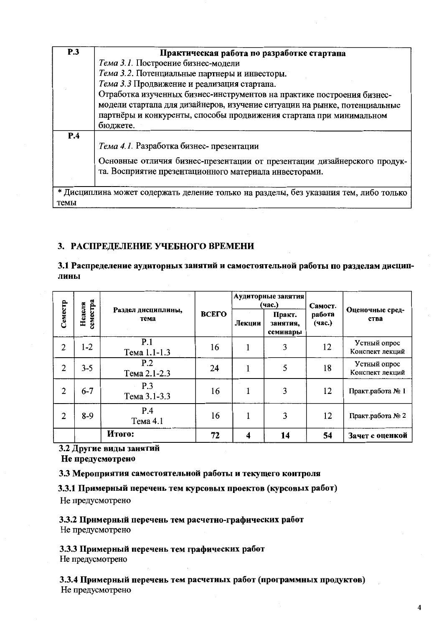| <b>P.3</b> | Практическая работа по разработке стартапа                                            |
|------------|---------------------------------------------------------------------------------------|
|            | Тема 3.1. Построение бизнес-модели                                                    |
|            | Тема 3.2. Потенциальные партнеры и инвесторы.                                         |
|            | Тема 3.3 Продвижение и реализация стартапа.                                           |
|            | Отработка изученных бизнес-инструментов на практике построения бизнес-                |
|            | модели стартапа для дизайнеров, изучение ситуации на рынке, потенциальные             |
|            | партнёры и конкуренты, способы продвижения стартапа при минимальном                   |
|            | бюджете.                                                                              |
| P.4        |                                                                                       |
|            | Тема 4.1. Разработка бизнес-презентации                                               |
|            | Основные отличия бизнес-презентации от презентации дизайнерского продук-              |
|            | та. Восприятие презентационного материала инвесторами.                                |
|            |                                                                                       |
|            | * Дисциплина может содержать деление только на разделы, без указания тем, либо только |
| темы       |                                                                                       |

### 3. РАСПРЕДЕЛЕНИЕ УЧЕБНОГО ВРЕМЕНИ

### 3.1 Распределение аудиторных занятий и самостоятельной работы по разделам днециплины

|                |                    |                            |       |        | Аудиторные занятия <br>(час.)  | Самост.          | Оценочные сред-<br>ства         |  |
|----------------|--------------------|----------------------------|-------|--------|--------------------------------|------------------|---------------------------------|--|
| Семестр        | семестра<br>Неделя | Раздел днециплины,<br>тема | ВСЕГО | Лекции | Практ.<br>занятия.<br>семинары | работа<br>(час.) |                                 |  |
| $\overline{2}$ | $1-2$              | P.1<br>Тема 1.1-1.3        | 16    |        | 3                              | 12               | Устный опрос<br>Конспект лекций |  |
| $\overline{2}$ | $3 - 5$            | P.2<br>Тема 2.1-2.3        | 24    |        | 5                              | 18               | Устный опрос<br>Конспект лекций |  |
| 2              | $6 - 7$            | P.3<br>Тема 3.1-3.3        | 16    |        | 3                              | 12               | Практ.работа № 1                |  |
| 2              | $8-9$              | P.4<br>Тема 4.1            | 16    |        | 3                              | 12               | Практ.работа № 2                |  |
|                |                    | Итого:                     | 72    | 4      | 14                             | 54               | Зачет с оценкой                 |  |

# 3.2 Другие виды занятий

Не предусмотрено

### 3.3 Мероприятия самостоятельной работы и текущего контроля

3.3.1 Примерный перечень тем курсовых проектов (курсовых работ)

Не предусмотрено

3.3.2 Примерный перечень тем расчетно-графических работ Не предусмотрено

3.3.3 Примерный перечень тем графических работ Не предусмотрено

3.3.4 Примерный перечень тем расчетных работ (программных продуктов) Не предусмотрено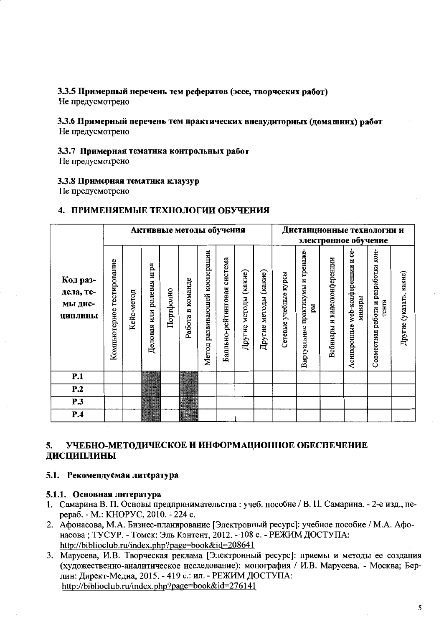## 3.3.5 Примерный перечень тем рефератов (эссе, творческих работ)

Не предусмотрено

### 3.3.6 Примерный перечень тем практических внеаудиторных (домашних) работ Не предусмотрено

### 3.3.7 Примерная тематика контрольных работ

Не предусмотрено

### 3.3.8 Примерная тематика клаузур

Не предусмотрено

### 4. ПРИМЕНЯЕМЫЕ ТЕХНОЛОГИИ ОБУЧЕНИЯ

| Активные методы обучения<br>система<br>Код раз- |                              |            |                             |           |                  |                              |                     |                       |                          |                       | Дистанционные технологии и              |                             | электронное обучение                               |                                                 |                         |
|-------------------------------------------------|------------------------------|------------|-----------------------------|-----------|------------------|------------------------------|---------------------|-----------------------|--------------------------|-----------------------|-----------------------------------------|-----------------------------|----------------------------------------------------|-------------------------------------------------|-------------------------|
| дела, те-<br>мы дис-<br>ЦИПЛИНЫ                 | тестирование<br>Компьютерное | Кейс-метод | или ролевая игра<br>Деловая | Портфолио | Работа в команде | Метод развивающей кооперации | Балльно-рейтинговая | Другие методы (какие) | (какие)<br>Другие методы | Сетевые учебные курсы | Виртуальные практикумы и тренаже-<br>Eщ | Вебинары и видеоконференции | ပ္ပံ<br>web-конференции и<br>минары<br>Асинхронные | работа и разработка кон-<br>гента<br>Совместная | Другие (указать, какие) |
| P.1                                             |                              |            |                             |           |                  |                              |                     |                       |                          |                       |                                         |                             |                                                    |                                                 |                         |
| P.2                                             |                              |            |                             |           |                  |                              |                     |                       |                          |                       |                                         |                             |                                                    |                                                 |                         |
| <b>P.3</b>                                      |                              |            |                             |           |                  |                              |                     |                       |                          |                       |                                         |                             |                                                    |                                                 |                         |
| P.4                                             |                              |            |                             |           |                  |                              |                     |                       |                          |                       |                                         |                             |                                                    |                                                 |                         |

### УЧЕБНО-МЕТОДИЧЕСКОЕ И ИНФОРМАЦИОННОЕ ОБЕСПЕЧЕНИЕ 5. ДИСЦИПЛИНЫ

### 5.1. Рекомендуемая литература

### 5.1.1. Основная литература

- 1. Самарина В. П. Основы предпринимательства: учеб. пособие / В. П. Самарина. 2-е изд., перераб. - М.: КНОРУС, 2010. - 224 с.
- 2. Афонасова, М.А. Бизнес-планирование [Электронный ресурс]: учебное пособие / М.А. Афонасова: ТУСУР. - Томск: Эль Контент, 2012. - 108 с. - РЕЖИМ ДОСТУПА: http://biblioclub.ru/index.php?page=book&id=208641
- 3. Марусева, И.В. Творческая реклама [Электронный ресурс]: приемы и методы ее создания (художественно-аналитическое исследование): монография / И.В. Марусева. - Москва; Берлин: Директ-Медиа, 2015. - 419 с.: ил. - РЕЖИМ ДОСТУПА: http://biblioclub.ru/index.php?page=book&id=276141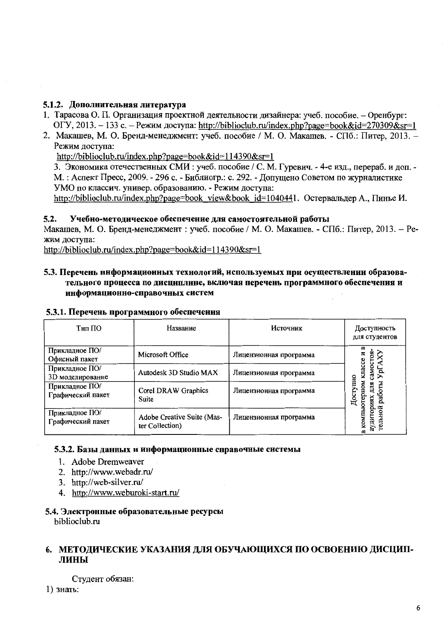### 5.1.2. Дополнительная литература

- 1. Тарасова О. П. Организация проектной деятельности дизайнера: учеб. пособие. Оренбург: ОГУ, 2013. – 133 с. – Режим доступа: http://biblioclub.ru/index.php?page=book&id=270309&sr=1
- 2. Макашев, М. О. Бренд-менеджмент: учеб. пособие / М. О. Макашев. СПб.: Питер, 2013. -Режим доступа:

http://biblioclub.ru/index.php?page=book&id=114390&sr=1

3. Экономика отечественных СМИ: учеб. пособие / С. М. Гуревич. - 4-е изд., перераб. и доп. -М.: Аспект Пресс, 2009. - 296 с. - Библиогр.: с. 292. - Допущено Советом по журналистике УМО по классич. универ. образованию. - Режим доступа:

http://biblioclub.ru/index.php?page=book view&book id=1040441. Остервальдер А., Пинье И.

### $5.2.$ Учебно-методическое обеспечение для самостоятельной работы

Макашев, М. О. Бренд-менеджмент: учеб. пособие / М. О. Макашев. - СПб.: Питер, 2013. - Режим доступа:

http://biblioclub.ru/index.php?page=book&id=114390&sr=1

### 5.3. Перечень информационных технологий, используемых при осуществлении образовательного процесса по дисциплине, включая перечень программного обеспечения и информационно-справочных систем

| Тип ПО                              | Название                                      | Источник               | Доступность<br>для студентов           |
|-------------------------------------|-----------------------------------------------|------------------------|----------------------------------------|
| Прикладное ПО/<br>Офисный пакет     | Microsoft Office                              | Лицензионная программа | ≃<br>MOCTOR                            |
| Прикладное ПО/<br>3D моделирование  | Autodesk 3D Studio MAX                        | Лицензионная программа | knacce<br>ypi<br>/ПНЮ                  |
| Прикладное ПО/<br>Графический пакет | Corel DRAW Graphics<br>Suite                  | Лицензионная программа | MOHO<br>аботы<br>octy<br>й             |
| Прикладное ПО/<br>Графический пакет | Adobe Creative Suite (Mas-<br>ter Collection) | Лицензионная программа | аудитори<br>гельно<br><b>KOMI</b><br>≃ |

### 5.3.1. Перечень программного обеспечения

### 5.3.2. Базы данных и информационные справочные системы

- 1. Adobe Dremweaver
- 2. http://www.webadr.ru/
- 3. http://web-silver.ru/
- 4. http://www.weburoki-start.ru/
- 5.4. Электронные образовательные ресурсы biblioclub.ru

### 6. МЕТОДИЧЕСКИЕ УКАЗАНИЯ ДЛЯ ОБУЧАЮЩИХСЯ ПО ОСВОЕНИЮ ДИСЦИПлины

Студент обязан:

 $1)$  знать: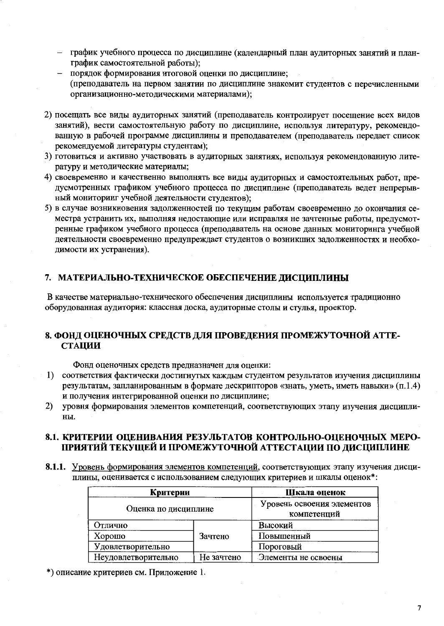- график учебного процесса по дисциплине (календарный план аудиторных занятий и планграфик самостоятельной работы):
- порядок формирования итоговой оценки по дисциплине;  $\equiv$ (преподаватель на первом занятии по дисциплине знакомит студентов с перечисленными организационно-методическими материалами);
- 2) посещать все виды аудиторных занятий (преподаватель контролирует посещение всех видов занятий), вести самостоятельную работу по дисциплине, используя литературу, рекомендованную в рабочей программе дисциплины и преподавателем (преподаватель передает список рекомендуемой литературы студентам);
- 3) готовиться и активно участвовать в аудиторных занятиях, используя рекомендованную литературу и методические материалы;
- 4) своевременно и качественно выполнять все виды аудиторных и самостоятельных работ, предусмотренных графиком учебного процесса по дисциплине (преподаватель ведет непрерывный мониторинг учебной деятельности студентов):
- 5) в случае возникновения задолженностей по текущим работам своевременно до окончания семестра устранить их, выполняя недостающие или исправляя не зачтенные работы, предусмотренные графиком учебного процесса (преподаватель на основе данных мониторинга учебной деятельности своевременно предупреждает студентов о возникших задолженностях и необходимости их устранения).

### 7. МАТЕРИАЛЬНО-ТЕХНИЧЕСКОЕ ОБЕСПЕЧЕНИЕ ДИСЦИПЛИНЫ

В качестве материально-технического обеспечения дисциплины используется традиционно оборудованная аудитория: классная доска, аудиторные столы и стулья, проектор.

### 8. ФОНД ОЦЕНОЧНЫХ СРЕДСТВ ДЛЯ ПРОВЕДЕНИЯ ПРОМЕЖУТОЧНОЙ АТТЕ-**СТАЦИИ**

Фонд оценочных средств предназначен для оценки:

- 1) соответствия фактически достигнутых каждым студентом результатов изучения дисциплины результатам, запланированным в формате дескрипторов «знать, уметь, иметь навыки» (п.1.4) и получения интегрированной оценки по дисциплине;
- 2) уровня формирования элементов компетенций, соответствующих этапу изучения дисциплины.

### 8.1. КРИТЕРИИ ОЦЕНИВАНИЯ РЕЗУЛЬТАТОВ КОНТРОЛЬНО-ОЦЕНОЧНЫХ МЕРО-ПРИЯТИЙ ТЕКУЩЕЙ И ПРОМЕЖУТОЧНОЙ АТТЕСТАЦИИ ПО ДИСЦИПЛИНЕ

8.1.1. Уровень формирования элементов компетенций, соответствующих этапу изучения дисциплины, оценивается с использованием следующих критериев и шкалы оценок\*:

| Критерии             | Шкала оценок                              |                     |  |  |
|----------------------|-------------------------------------------|---------------------|--|--|
| Оценка по дисциплине | Уровень освоения элементов<br>компетенций |                     |  |  |
| Отлично              | Высокий                                   |                     |  |  |
| Хорошо               | Зачтено                                   | Повышенный          |  |  |
| Удовлетворительно    |                                           | Пороговый           |  |  |
| Неудовлетворительно  | Не зачтено                                | Элементы не освоены |  |  |

\*) описание критериев см. Приложение 1.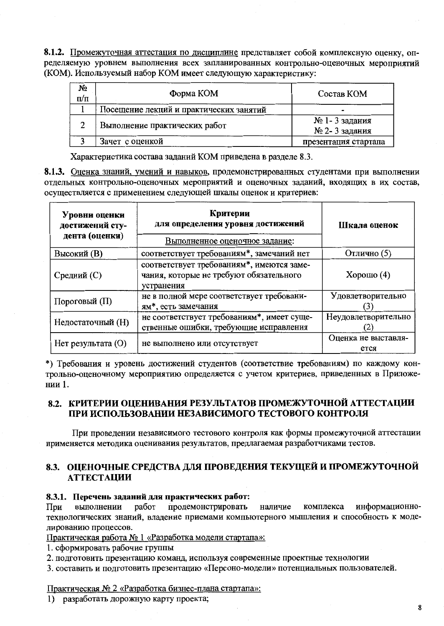8.1.2. Промежуточная аттестация по дисциплине представляет собой комплексную оценку, определяемую уровнем выполнения всех запланированных контрольно-оценочных мероприятий (КОМ). Используемый набор КОМ имеет следующую характеристику:

| N₫<br>п/п | Форма КОМ                               | Состав КОМ                     |
|-----------|-----------------------------------------|--------------------------------|
|           | Посещение лекций и практических занятий |                                |
| 2         | Выполнение практических работ           | № 1-3 задания<br>№ 2-3 задания |
|           | Зачет с оценкой                         | презентация стартапа           |

Характеристика состава заданий КОМ приведена в разделе 8.3.

8.1.3. Оценка знаний, умений и навыков, продемонстрированных студентами при выполнении отдельных контрольно-оценочных мероприятий и оценочных заданий, входящих в их состав, осуществляется с применением следующей шкалы оценок и критериев:

| Уровни оценки<br>достижений сту-<br>дента (оценки) | Критерии<br>для определения уровня достижений<br>Выполненное оценочное задание:                    | Шкала оценок                |
|----------------------------------------------------|----------------------------------------------------------------------------------------------------|-----------------------------|
| <b>Высокий</b> (B)                                 | соответствует требованиям*, замечаний нет                                                          | Отлично (5)                 |
| Средний (С)                                        | соответствует требованиям*, имеются заме-<br>чания, которые не требуют обязательного<br>устранения | $X$ орошо $(4)$             |
| Пороговый (П)                                      | не в полной мере соответствует требовани-<br>ям*, есть замечания                                   | Удовлетворительно           |
| Недостаточный (H)                                  | не соответствует требованиям*, имеет суще-<br>ственные ошибки, требующие исправления               | Неудовлетворительно         |
| Нет результата (О)                                 | не выполнено или отсутствует                                                                       | Оценка не выставля-<br>ется |

\*) Требования и уровень достижений студентов (соответствие требованиям) по каждому контрольно-оценочному мероприятию определяется с учетом критериев, приведенных в Приложении 1.

## 8.2. КРИТЕРИИ ОЦЕНИВАНИЯ РЕЗУЛЬТАТОВ ПРОМЕЖУТОЧНОЙ АТТЕСТАЦИИ ПРИ ИСПОЛЬЗОВАНИИ НЕЗАВИСИМОГО ТЕСТОВОГО КОНТРОЛЯ

При проведении независимого тестового контроля как формы промежуточной аттестации применяется методика оценивания результатов, предлагаемая разработчиками тестов.

## 8.3. ОЦЕНОЧНЫЕ СРЕДСТВА ДЛЯ ПРОВЕДЕНИЯ ТЕКУЩЕЙ И ПРОМЕЖУТОЧНОЙ **АТТЕСТАЦИИ**

### 8.3.1. Перечень заданий для практических работ:

продемонстрировать информационноработ наличие комплекса При выполнении технологических знаний, владение приемами компьютерного мышления и способность к моделированию процессов.

Практическая работа № 1 «Разработка модели стартапа»:

1. сформировать рабочие группы

- 2. подготовить презентацию команд, используя современные проектные технологии
- 3. составить и полготовить презентацию «Персоно-модели» потенциальных пользователей.

### Практическая № 2 «Разработка бизнес-плана стартапа»:

1) разработать дорожную карту проекта;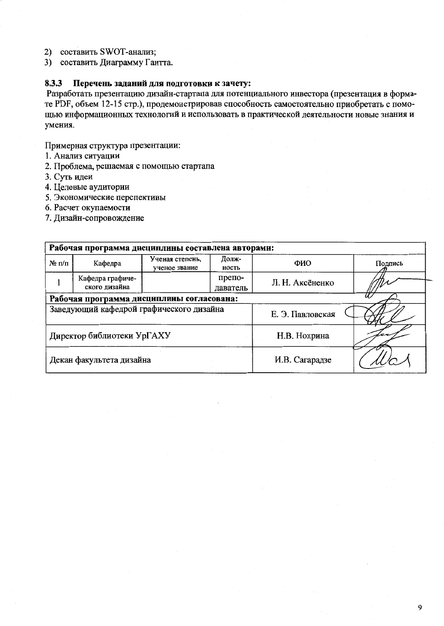2) составить SWOT-анализ;

3) составить Диаграмму Гантта.

### Перечень заданий для подготовки к зачету: 8.3.3

Разработать презентацию дизайн-стартапа для потенциального инвестора (презентация в формате PDF, объем 12-15 стр.), продемонстрировав способность самостоятельно приобретать с помощью информационных технологий и использовать в практической деятельности новые знания и умения.

Примерная структура презентации:

- 1. Анализ ситуации
- 2. Проблема, решаемая с помощью стартапа
- 3. Суть идеи
- 4. Целевые аудитории
- 5. Экономические перспективы

6. Расчет окупаемости

7. Дизайн-сопровождение

| Рабочая программа дисциплины составлена авторами: |                                                               |                    |                  |                 |         |  |  |  |  |
|---------------------------------------------------|---------------------------------------------------------------|--------------------|------------------|-----------------|---------|--|--|--|--|
| $\mathbf{N}$ Ω π/π                                | Ученая степень,<br>Долж-<br>Кафедра<br>ученое звание<br>ность |                    |                  | ФИО             | Полпись |  |  |  |  |
|                                                   | Кафедра графиче-<br>ского дизайна                             | препо-<br>даватель |                  | Л. Н. Аксёненко |         |  |  |  |  |
|                                                   | Рабочая программа дисциплины согласована:                     |                    |                  |                 |         |  |  |  |  |
|                                                   | Заведующий кафедрой графического дизайна                      |                    | Е. Э. Павловская |                 |         |  |  |  |  |
|                                                   | Директор библиотеки УрГАХУ                                    | Н.В. Нохрина       |                  |                 |         |  |  |  |  |
|                                                   | Декан факультета дизайна                                      |                    |                  | И.В. Сагарадзе  |         |  |  |  |  |